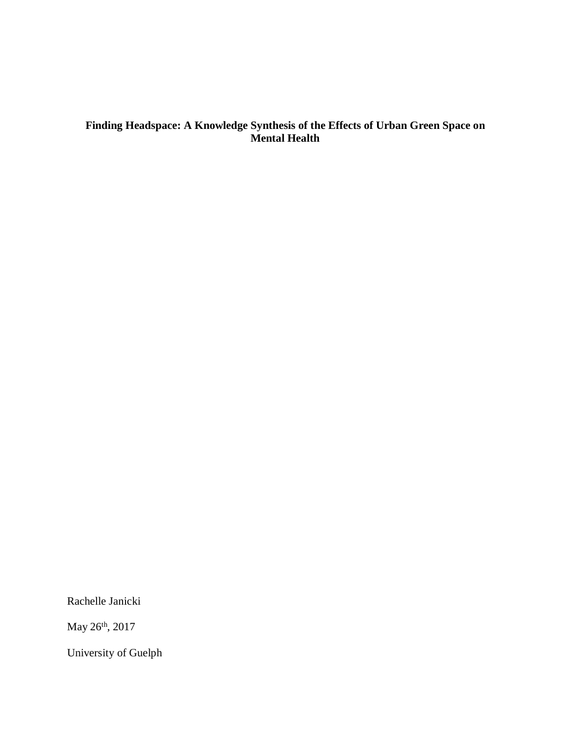# **Finding Headspace: A Knowledge Synthesis of the Effects of Urban Green Space on Mental Health**

Rachelle Janicki

May 26th, 2017

University of Guelph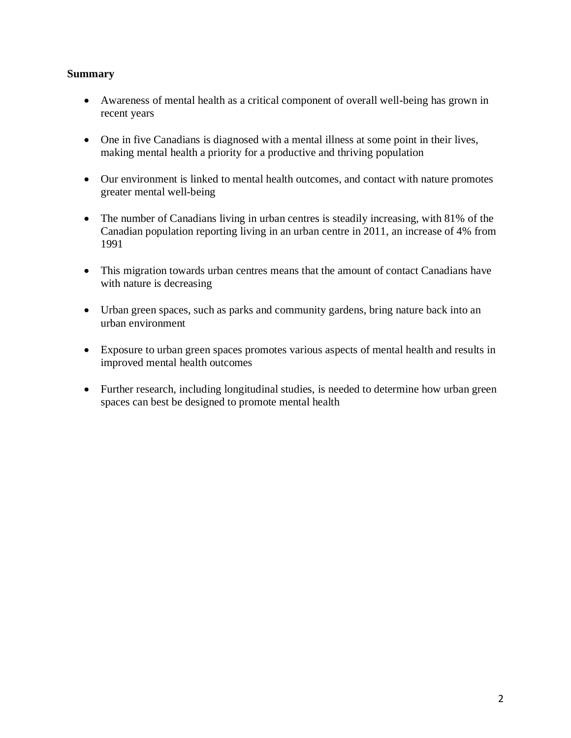# **Summary**

- Awareness of mental health as a critical component of overall well-being has grown in recent years
- One in five Canadians is diagnosed with a mental illness at some point in their lives, making mental health a priority for a productive and thriving population
- Our environment is linked to mental health outcomes, and contact with nature promotes greater mental well-being
- The number of Canadians living in urban centres is steadily increasing, with 81% of the Canadian population reporting living in an urban centre in 2011, an increase of 4% from 1991
- This migration towards urban centres means that the amount of contact Canadians have with nature is decreasing
- Urban green spaces, such as parks and community gardens, bring nature back into an urban environment
- Exposure to urban green spaces promotes various aspects of mental health and results in improved mental health outcomes
- Further research, including longitudinal studies, is needed to determine how urban green spaces can best be designed to promote mental health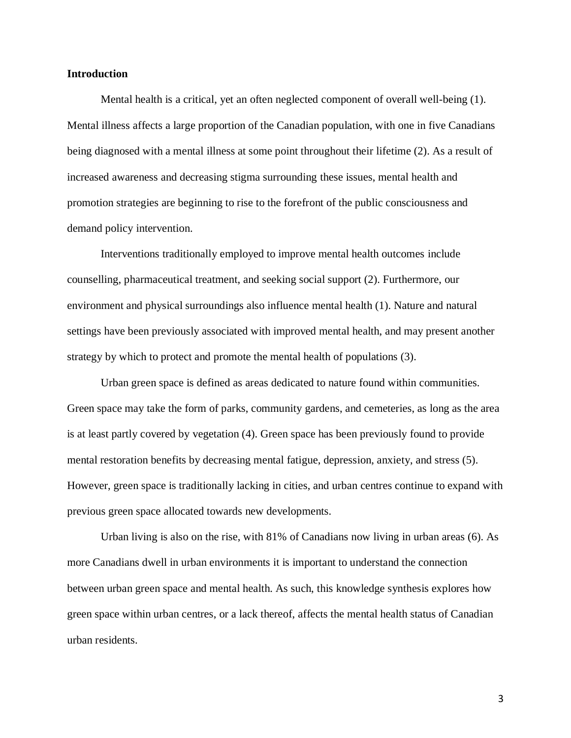# **Introduction**

Mental health is a critical, yet an often neglected component of overall well-being (1). Mental illness affects a large proportion of the Canadian population, with one in five Canadians being diagnosed with a mental illness at some point throughout their lifetime (2). As a result of increased awareness and decreasing stigma surrounding these issues, mental health and promotion strategies are beginning to rise to the forefront of the public consciousness and demand policy intervention.

Interventions traditionally employed to improve mental health outcomes include counselling, pharmaceutical treatment, and seeking social support (2). Furthermore, our environment and physical surroundings also influence mental health (1). Nature and natural settings have been previously associated with improved mental health, and may present another strategy by which to protect and promote the mental health of populations (3).

Urban green space is defined as areas dedicated to nature found within communities. Green space may take the form of parks, community gardens, and cemeteries, as long as the area is at least partly covered by vegetation (4). Green space has been previously found to provide mental restoration benefits by decreasing mental fatigue, depression, anxiety, and stress (5). However, green space is traditionally lacking in cities, and urban centres continue to expand with previous green space allocated towards new developments.

Urban living is also on the rise, with 81% of Canadians now living in urban areas (6). As more Canadians dwell in urban environments it is important to understand the connection between urban green space and mental health. As such, this knowledge synthesis explores how green space within urban centres, or a lack thereof, affects the mental health status of Canadian urban residents.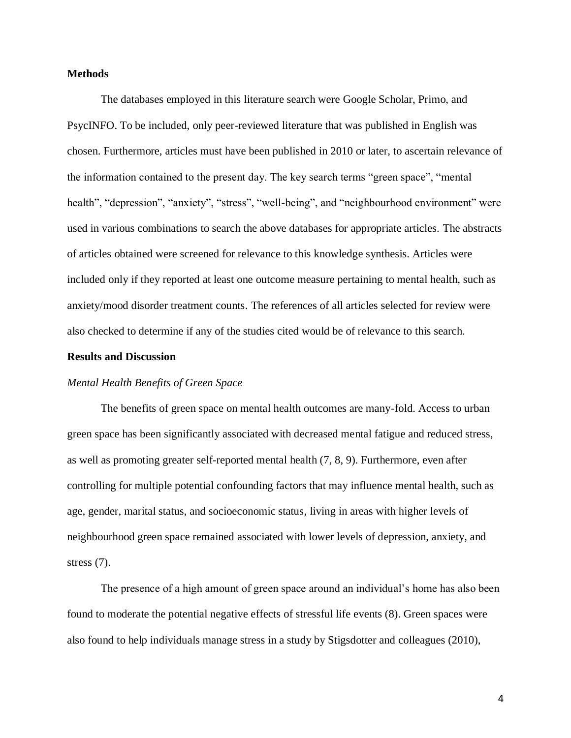# **Methods**

The databases employed in this literature search were Google Scholar, Primo, and PsycINFO. To be included, only peer-reviewed literature that was published in English was chosen. Furthermore, articles must have been published in 2010 or later, to ascertain relevance of the information contained to the present day. The key search terms "green space", "mental health", "depression", "anxiety", "stress", "well-being", and "neighbourhood environment" were used in various combinations to search the above databases for appropriate articles. The abstracts of articles obtained were screened for relevance to this knowledge synthesis. Articles were included only if they reported at least one outcome measure pertaining to mental health, such as anxiety/mood disorder treatment counts. The references of all articles selected for review were also checked to determine if any of the studies cited would be of relevance to this search.

# **Results and Discussion**

# *Mental Health Benefits of Green Space*

The benefits of green space on mental health outcomes are many-fold. Access to urban green space has been significantly associated with decreased mental fatigue and reduced stress, as well as promoting greater self-reported mental health (7, 8, 9). Furthermore, even after controlling for multiple potential confounding factors that may influence mental health, such as age, gender, marital status, and socioeconomic status, living in areas with higher levels of neighbourhood green space remained associated with lower levels of depression, anxiety, and stress (7).

The presence of a high amount of green space around an individual's home has also been found to moderate the potential negative effects of stressful life events (8). Green spaces were also found to help individuals manage stress in a study by Stigsdotter and colleagues (2010),

4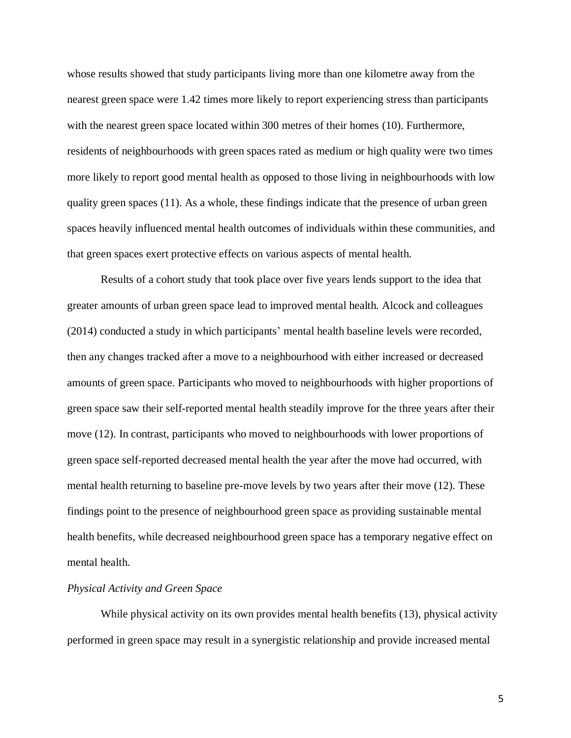whose results showed that study participants living more than one kilometre away from the nearest green space were 1.42 times more likely to report experiencing stress than participants with the nearest green space located within 300 metres of their homes (10). Furthermore, residents of neighbourhoods with green spaces rated as medium or high quality were two times more likely to report good mental health as opposed to those living in neighbourhoods with low quality green spaces (11). As a whole, these findings indicate that the presence of urban green spaces heavily influenced mental health outcomes of individuals within these communities, and that green spaces exert protective effects on various aspects of mental health.

Results of a cohort study that took place over five years lends support to the idea that greater amounts of urban green space lead to improved mental health. Alcock and colleagues (2014) conducted a study in which participants' mental health baseline levels were recorded, then any changes tracked after a move to a neighbourhood with either increased or decreased amounts of green space. Participants who moved to neighbourhoods with higher proportions of green space saw their self-reported mental health steadily improve for the three years after their move (12). In contrast, participants who moved to neighbourhoods with lower proportions of green space self-reported decreased mental health the year after the move had occurred, with mental health returning to baseline pre-move levels by two years after their move (12). These findings point to the presence of neighbourhood green space as providing sustainable mental health benefits, while decreased neighbourhood green space has a temporary negative effect on mental health.

# *Physical Activity and Green Space*

While physical activity on its own provides mental health benefits (13), physical activity performed in green space may result in a synergistic relationship and provide increased mental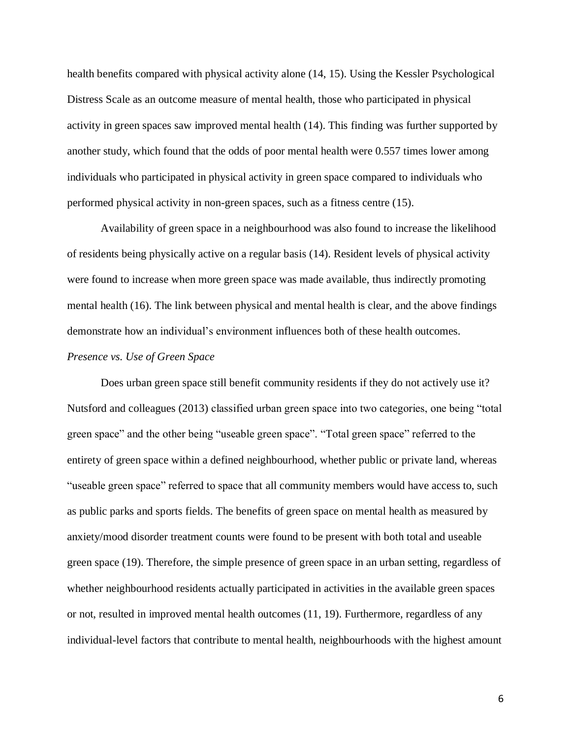health benefits compared with physical activity alone (14, 15). Using the Kessler Psychological Distress Scale as an outcome measure of mental health, those who participated in physical activity in green spaces saw improved mental health (14). This finding was further supported by another study, which found that the odds of poor mental health were 0.557 times lower among individuals who participated in physical activity in green space compared to individuals who performed physical activity in non-green spaces, such as a fitness centre (15).

Availability of green space in a neighbourhood was also found to increase the likelihood of residents being physically active on a regular basis (14). Resident levels of physical activity were found to increase when more green space was made available, thus indirectly promoting mental health (16). The link between physical and mental health is clear, and the above findings demonstrate how an individual's environment influences both of these health outcomes.

# *Presence vs. Use of Green Space*

Does urban green space still benefit community residents if they do not actively use it? Nutsford and colleagues (2013) classified urban green space into two categories, one being "total green space" and the other being "useable green space". "Total green space" referred to the entirety of green space within a defined neighbourhood, whether public or private land, whereas "useable green space" referred to space that all community members would have access to, such as public parks and sports fields. The benefits of green space on mental health as measured by anxiety/mood disorder treatment counts were found to be present with both total and useable green space (19). Therefore, the simple presence of green space in an urban setting, regardless of whether neighbourhood residents actually participated in activities in the available green spaces or not, resulted in improved mental health outcomes (11, 19). Furthermore, regardless of any individual-level factors that contribute to mental health, neighbourhoods with the highest amount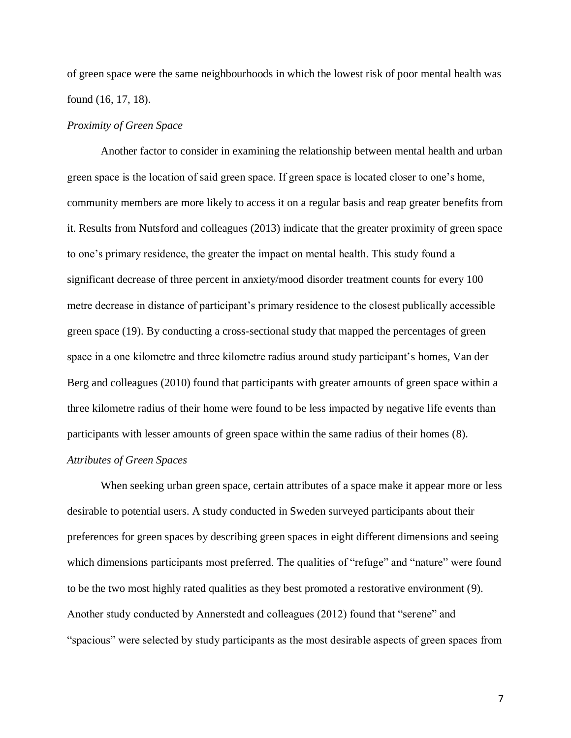of green space were the same neighbourhoods in which the lowest risk of poor mental health was found (16, 17, 18).

# *Proximity of Green Space*

Another factor to consider in examining the relationship between mental health and urban green space is the location of said green space. If green space is located closer to one's home, community members are more likely to access it on a regular basis and reap greater benefits from it. Results from Nutsford and colleagues (2013) indicate that the greater proximity of green space to one's primary residence, the greater the impact on mental health. This study found a significant decrease of three percent in anxiety/mood disorder treatment counts for every 100 metre decrease in distance of participant's primary residence to the closest publically accessible green space (19). By conducting a cross-sectional study that mapped the percentages of green space in a one kilometre and three kilometre radius around study participant's homes, Van der Berg and colleagues (2010) found that participants with greater amounts of green space within a three kilometre radius of their home were found to be less impacted by negative life events than participants with lesser amounts of green space within the same radius of their homes (8).

# *Attributes of Green Spaces*

When seeking urban green space, certain attributes of a space make it appear more or less desirable to potential users. A study conducted in Sweden surveyed participants about their preferences for green spaces by describing green spaces in eight different dimensions and seeing which dimensions participants most preferred. The qualities of "refuge" and "nature" were found to be the two most highly rated qualities as they best promoted a restorative environment (9). Another study conducted by Annerstedt and colleagues (2012) found that "serene" and "spacious" were selected by study participants as the most desirable aspects of green spaces from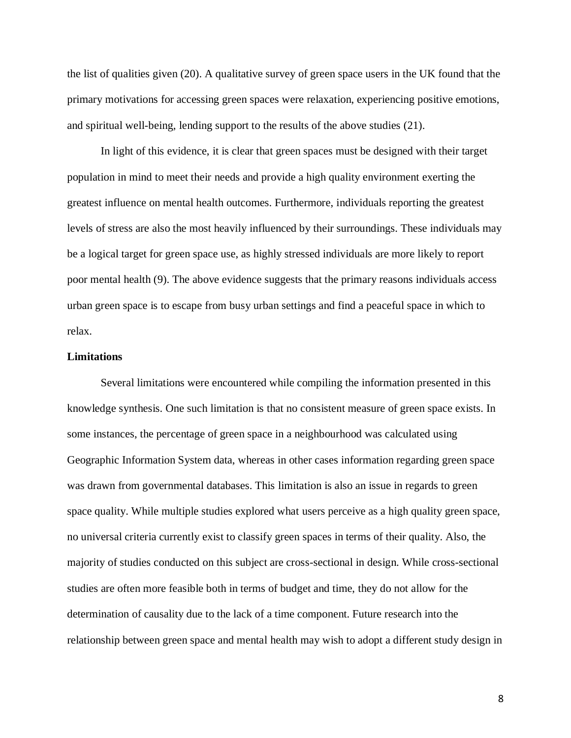the list of qualities given (20). A qualitative survey of green space users in the UK found that the primary motivations for accessing green spaces were relaxation, experiencing positive emotions, and spiritual well-being, lending support to the results of the above studies (21).

In light of this evidence, it is clear that green spaces must be designed with their target population in mind to meet their needs and provide a high quality environment exerting the greatest influence on mental health outcomes. Furthermore, individuals reporting the greatest levels of stress are also the most heavily influenced by their surroundings. These individuals may be a logical target for green space use, as highly stressed individuals are more likely to report poor mental health (9). The above evidence suggests that the primary reasons individuals access urban green space is to escape from busy urban settings and find a peaceful space in which to relax.

# **Limitations**

Several limitations were encountered while compiling the information presented in this knowledge synthesis. One such limitation is that no consistent measure of green space exists. In some instances, the percentage of green space in a neighbourhood was calculated using Geographic Information System data, whereas in other cases information regarding green space was drawn from governmental databases. This limitation is also an issue in regards to green space quality. While multiple studies explored what users perceive as a high quality green space, no universal criteria currently exist to classify green spaces in terms of their quality. Also, the majority of studies conducted on this subject are cross-sectional in design. While cross-sectional studies are often more feasible both in terms of budget and time, they do not allow for the determination of causality due to the lack of a time component. Future research into the relationship between green space and mental health may wish to adopt a different study design in

8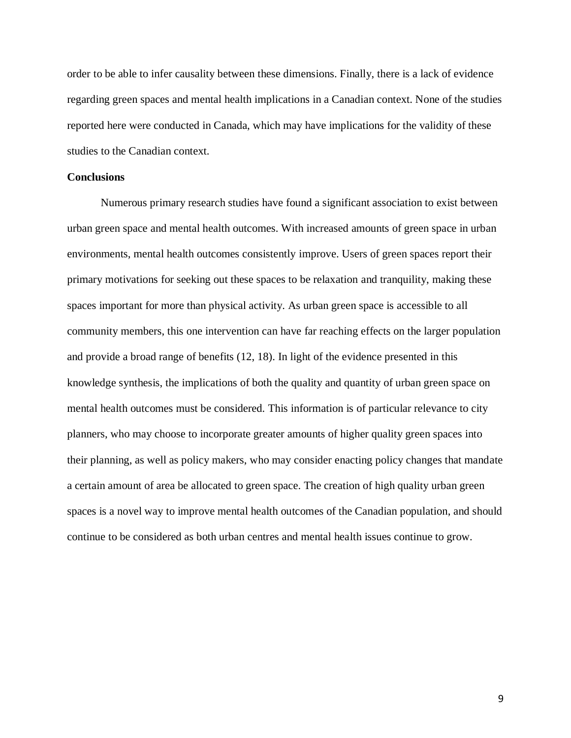order to be able to infer causality between these dimensions. Finally, there is a lack of evidence regarding green spaces and mental health implications in a Canadian context. None of the studies reported here were conducted in Canada, which may have implications for the validity of these studies to the Canadian context.

# **Conclusions**

Numerous primary research studies have found a significant association to exist between urban green space and mental health outcomes. With increased amounts of green space in urban environments, mental health outcomes consistently improve. Users of green spaces report their primary motivations for seeking out these spaces to be relaxation and tranquility, making these spaces important for more than physical activity. As urban green space is accessible to all community members, this one intervention can have far reaching effects on the larger population and provide a broad range of benefits (12, 18). In light of the evidence presented in this knowledge synthesis, the implications of both the quality and quantity of urban green space on mental health outcomes must be considered. This information is of particular relevance to city planners, who may choose to incorporate greater amounts of higher quality green spaces into their planning, as well as policy makers, who may consider enacting policy changes that mandate a certain amount of area be allocated to green space. The creation of high quality urban green spaces is a novel way to improve mental health outcomes of the Canadian population, and should continue to be considered as both urban centres and mental health issues continue to grow.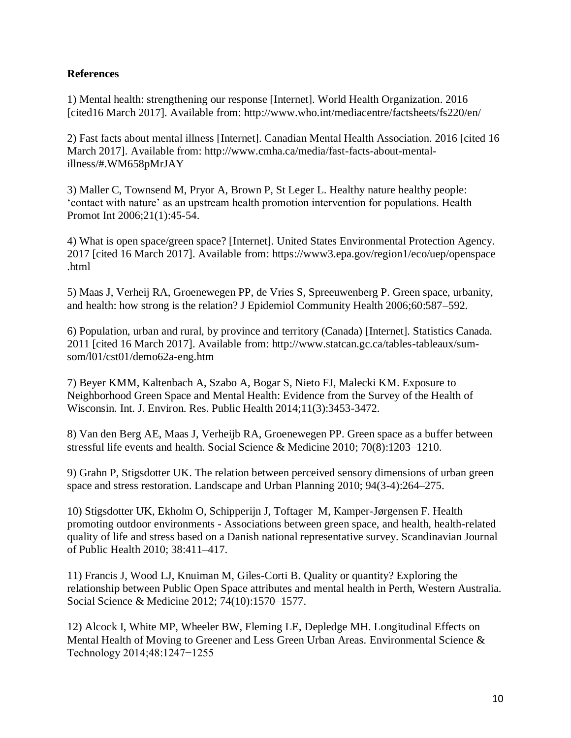# **References**

1) Mental health: strengthening our response [Internet]. World Health Organization. 2016 [cited16 March 2017]. Available from: http://www.who.int/mediacentre/factsheets/fs220/en/

2) Fast facts about mental illness [Internet]. Canadian Mental Health Association. 2016 [cited 16 March 2017]. Available from: http://www.cmha.ca/media/fast-facts-about-mentalillness/#.WM658pMrJAY

3) Maller C, Townsend M, Pryor A, Brown P, St Leger L. Healthy nature healthy people: 'contact with nature' as an upstream health promotion intervention for populations. Health Promot Int 2006;21(1):45-54.

4) What is open space/green space? [Internet]. United States Environmental Protection Agency. 2017 [cited 16 March 2017]. Available from: https://www3.epa.gov/region1/eco/uep/openspace .html

5) Maas J, Verheij RA, Groenewegen PP, de Vries S, Spreeuwenberg P. Green space, urbanity, and health: how strong is the relation? J Epidemiol Community Health 2006;60:587–592.

6) Population, urban and rural, by province and territory (Canada) [Internet]. Statistics Canada. 2011 [cited 16 March 2017]. Available from: http://www.statcan.gc.ca/tables-tableaux/sumsom/l01/cst01/demo62a-eng.htm

7) Beyer KMM, Kaltenbach A, Szabo A, Bogar S, Nieto FJ, Malecki KM. Exposure to Neighborhood Green Space and Mental Health: Evidence from the Survey of the Health of Wisconsin. Int. J. Environ. Res. Public Health 2014;11(3):3453-3472.

8) Van den Berg AE, Maas J, Verheijb RA, Groenewegen PP. Green space as a buffer between stressful life events and health. Social Science & Medicine 2010; 70(8):1203–1210.

9) Grahn P, Stigsdotter UK. The relation between perceived sensory dimensions of urban green space and stress restoration. Landscape and Urban Planning 2010; 94(3-4):264–275.

10) Stigsdotter UK, Ekholm O, Schipperijn J, Toftager M, Kamper-Jørgensen F. Health promoting outdoor environments - Associations between green space, and health, health-related quality of life and stress based on a Danish national representative survey. Scandinavian Journal of Public Health 2010; 38:411–417.

11) Francis J, Wood LJ, Knuiman M, Giles-Corti B. Quality or quantity? Exploring the relationship between Public Open Space attributes and mental health in Perth, Western Australia. Social Science & Medicine 2012; 74(10):1570–1577.

12) Alcock I, White MP, Wheeler BW, Fleming LE, Depledge MH. Longitudinal Effects on Mental Health of Moving to Greener and Less Green Urban Areas. Environmental Science & Technology 2014;48:1247−1255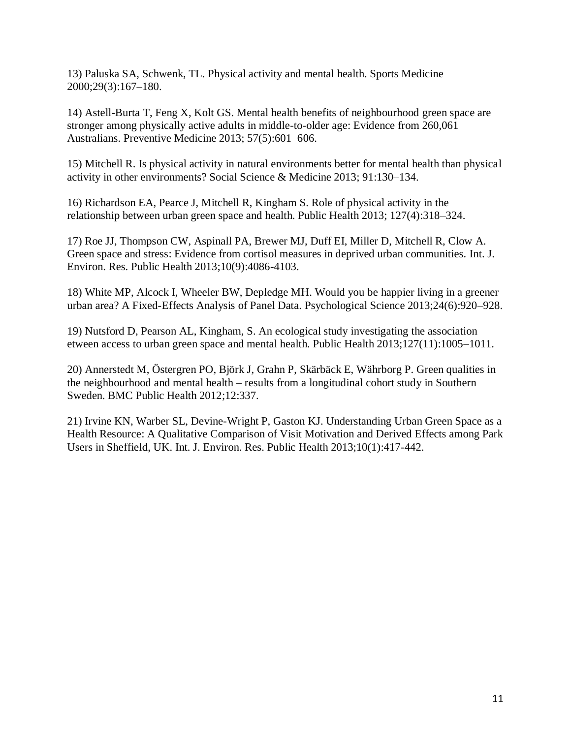13) Paluska SA, Schwenk, TL. Physical activity and mental health. Sports Medicine 2000;29(3):167–180.

14) Astell-Burta T, Feng X, Kolt GS. Mental health benefits of neighbourhood green space are stronger among physically active adults in middle-to-older age: Evidence from 260,061 Australians. Preventive Medicine 2013; 57(5):601–606.

15) Mitchell R. Is physical activity in natural environments better for mental health than physical activity in other environments? Social Science & Medicine 2013; 91:130–134.

16) Richardson EA, Pearce J, Mitchell R, Kingham S. Role of physical activity in the relationship between urban green space and health. Public Health 2013; 127(4):318–324.

17) Roe JJ, Thompson CW, Aspinall PA, Brewer MJ, Duff EI, Miller D, Mitchell R, Clow A. Green space and stress: Evidence from cortisol measures in deprived urban communities. Int. J. Environ. Res. Public Health 2013;10(9):4086-4103.

18) White MP, Alcock I, Wheeler BW, Depledge MH. Would you be happier living in a greener urban area? A Fixed-Effects Analysis of Panel Data. Psychological Science 2013;24(6):920–928.

19) Nutsford D, Pearson AL, Kingham, S. An ecological study investigating the association etween access to urban green space and mental health. Public Health 2013;127(11):1005–1011.

20) Annerstedt M, Östergren PO, Björk J, Grahn P, Skärbäck E, Währborg P. Green qualities in the neighbourhood and mental health – results from a longitudinal cohort study in Southern Sweden. BMC Public Health 2012;12:337.

21) Irvine KN, Warber SL, Devine-Wright P, Gaston KJ. Understanding Urban Green Space as a Health Resource: A Qualitative Comparison of Visit Motivation and Derived Effects among Park Users in Sheffield, UK. Int. J. Environ. Res. Public Health 2013;10(1):417-442.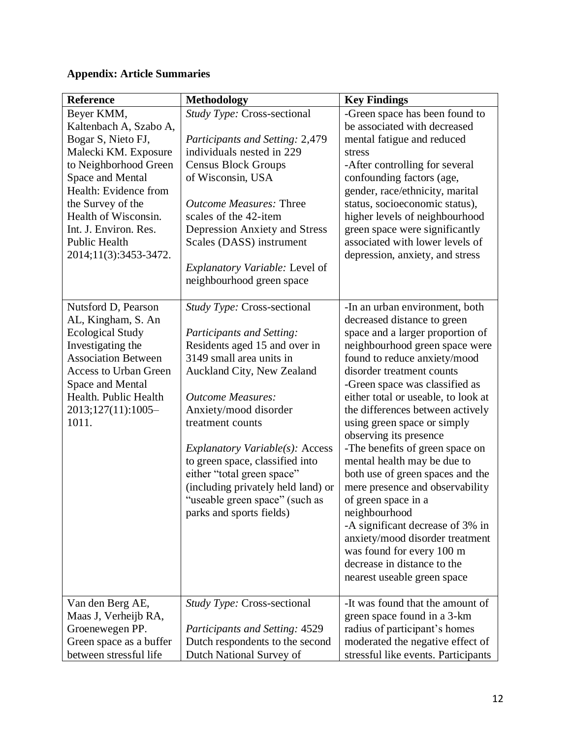# **Appendix: Article Summaries**

| <b>Reference</b>                                                                                                                                                                                                                                                         | <b>Methodology</b>                                                                                                                                                                                                                                                                                                                                                                                                                   | <b>Key Findings</b>                                                                                                                                                                                                                                                                                                                                                                                                                                                                                                                                                                                                                                                                                                       |
|--------------------------------------------------------------------------------------------------------------------------------------------------------------------------------------------------------------------------------------------------------------------------|--------------------------------------------------------------------------------------------------------------------------------------------------------------------------------------------------------------------------------------------------------------------------------------------------------------------------------------------------------------------------------------------------------------------------------------|---------------------------------------------------------------------------------------------------------------------------------------------------------------------------------------------------------------------------------------------------------------------------------------------------------------------------------------------------------------------------------------------------------------------------------------------------------------------------------------------------------------------------------------------------------------------------------------------------------------------------------------------------------------------------------------------------------------------------|
| Beyer KMM,<br>Kaltenbach A, Szabo A,<br>Bogar S, Nieto FJ,<br>Malecki KM. Exposure<br>to Neighborhood Green<br>Space and Mental<br>Health: Evidence from<br>the Survey of the<br>Health of Wisconsin.<br>Int. J. Environ. Res.<br>Public Health<br>2014;11(3):3453-3472. | Study Type: Cross-sectional<br>Participants and Setting: 2,479<br>individuals nested in 229<br><b>Census Block Groups</b><br>of Wisconsin, USA<br><b>Outcome Measures: Three</b><br>scales of the 42-item<br><b>Depression Anxiety and Stress</b><br>Scales (DASS) instrument<br><i>Explanatory Variable: Level of</i><br>neighbourhood green space                                                                                  | -Green space has been found to<br>be associated with decreased<br>mental fatigue and reduced<br>stress<br>-After controlling for several<br>confounding factors (age,<br>gender, race/ethnicity, marital<br>status, socioeconomic status),<br>higher levels of neighbourhood<br>green space were significantly<br>associated with lower levels of<br>depression, anxiety, and stress                                                                                                                                                                                                                                                                                                                                      |
| Nutsford D, Pearson<br>AL, Kingham, S. An<br><b>Ecological Study</b><br>Investigating the<br><b>Association Between</b><br><b>Access to Urban Green</b><br>Space and Mental<br>Health. Public Health<br>2013;127(11):1005-<br>1011.                                      | Study Type: Cross-sectional<br>Participants and Setting:<br>Residents aged 15 and over in<br>3149 small area units in<br>Auckland City, New Zealand<br><b>Outcome Measures:</b><br>Anxiety/mood disorder<br>treatment counts<br>Explanatory Variable(s): Access<br>to green space, classified into<br>either "total green space"<br>(including privately held land) or<br>"useable green space" (such as<br>parks and sports fields) | -In an urban environment, both<br>decreased distance to green<br>space and a larger proportion of<br>neighbourhood green space were<br>found to reduce anxiety/mood<br>disorder treatment counts<br>-Green space was classified as<br>either total or useable, to look at<br>the differences between actively<br>using green space or simply<br>observing its presence<br>-The benefits of green space on<br>mental health may be due to<br>both use of green spaces and the<br>mere presence and observability<br>of green space in a<br>neighbourhood<br>-A significant decrease of 3% in<br>anxiety/mood disorder treatment<br>was found for every 100 m<br>decrease in distance to the<br>nearest useable green space |
| Van den Berg AE,<br>Maas J, Verheijb RA,<br>Groenewegen PP.<br>Green space as a buffer<br>between stressful life                                                                                                                                                         | <i>Study Type: Cross-sectional</i><br>Participants and Setting: 4529<br>Dutch respondents to the second<br>Dutch National Survey of                                                                                                                                                                                                                                                                                                  | -It was found that the amount of<br>green space found in a 3-km<br>radius of participant's homes<br>moderated the negative effect of<br>stressful like events. Participants                                                                                                                                                                                                                                                                                                                                                                                                                                                                                                                                               |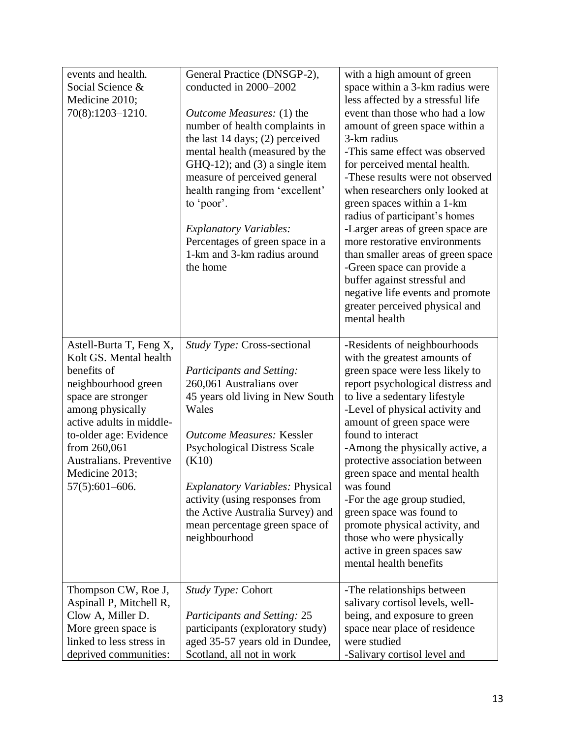| events and health.<br>Social Science &<br>Medicine 2010;<br>70(8):1203-1210.                                                                                                                                                                                                    | General Practice (DNSGP-2),<br>conducted in 2000-2002<br><i>Outcome Measures:</i> (1) the<br>number of health complaints in<br>the last $14 \text{ days}$ ; $(2)$ perceived<br>mental health (measured by the<br>$GHQ-12$ ; and $(3)$ a single item<br>measure of perceived general<br>health ranging from 'excellent'<br>to 'poor'.<br><b>Explanatory Variables:</b><br>Percentages of green space in a<br>1-km and 3-km radius around<br>the home | with a high amount of green<br>space within a 3-km radius were<br>less affected by a stressful life<br>event than those who had a low<br>amount of green space within a<br>3-km radius<br>-This same effect was observed<br>for perceived mental health.<br>-These results were not observed<br>when researchers only looked at<br>green spaces within a 1-km<br>radius of participant's homes<br>-Larger areas of green space are<br>more restorative environments<br>than smaller areas of green space<br>-Green space can provide a<br>buffer against stressful and<br>negative life events and promote<br>greater perceived physical and<br>mental health |
|---------------------------------------------------------------------------------------------------------------------------------------------------------------------------------------------------------------------------------------------------------------------------------|-----------------------------------------------------------------------------------------------------------------------------------------------------------------------------------------------------------------------------------------------------------------------------------------------------------------------------------------------------------------------------------------------------------------------------------------------------|---------------------------------------------------------------------------------------------------------------------------------------------------------------------------------------------------------------------------------------------------------------------------------------------------------------------------------------------------------------------------------------------------------------------------------------------------------------------------------------------------------------------------------------------------------------------------------------------------------------------------------------------------------------|
| Astell-Burta T, Feng X,<br>Kolt GS. Mental health<br>benefits of<br>neighbourhood green<br>space are stronger<br>among physically<br>active adults in middle-<br>to-older age: Evidence<br>from 260,061<br><b>Australians. Preventive</b><br>Medicine 2013;<br>$57(5):601-606.$ | Study Type: Cross-sectional<br>Participants and Setting:<br>260,061 Australians over<br>45 years old living in New South<br>Wales<br><b>Outcome Measures: Kessler</b><br><b>Psychological Distress Scale</b><br>(K10)<br><b>Explanatory Variables: Physical</b><br>activity (using responses from<br>the Active Australia Survey) and<br>mean percentage green space of<br>neighbourhood                                                            | -Residents of neighbourhoods<br>with the greatest amounts of<br>green space were less likely to<br>report psychological distress and<br>to live a sedentary lifestyle<br>-Level of physical activity and<br>amount of green space were<br>found to interact<br>-Among the physically active, a<br>protective association between<br>green space and mental health<br>was found<br>-For the age group studied,<br>green space was found to<br>promote physical activity, and<br>those who were physically<br>active in green spaces saw<br>mental health benefits                                                                                              |
| Thompson CW, Roe J,<br>Aspinall P, Mitchell R,<br>Clow A, Miller D.<br>More green space is<br>linked to less stress in<br>deprived communities:                                                                                                                                 | Study Type: Cohort<br><b>Participants and Setting: 25</b><br>participants (exploratory study)<br>aged 35-57 years old in Dundee,<br>Scotland, all not in work                                                                                                                                                                                                                                                                                       | -The relationships between<br>salivary cortisol levels, well-<br>being, and exposure to green<br>space near place of residence<br>were studied<br>-Salivary cortisol level and                                                                                                                                                                                                                                                                                                                                                                                                                                                                                |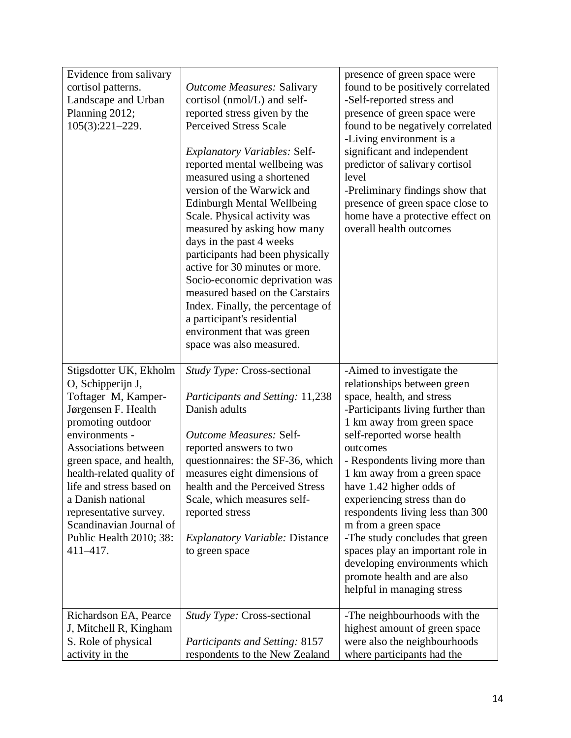| Evidence from salivary                                                                                                                                                                                                                                                                                                                                              |                                                                                                                                                                                                                                                                                                                                                                                                                                                                                                                                           | presence of green space were                                                                                                                                                                                                                                                                                                                                                                                                                                                                                                                                     |
|---------------------------------------------------------------------------------------------------------------------------------------------------------------------------------------------------------------------------------------------------------------------------------------------------------------------------------------------------------------------|-------------------------------------------------------------------------------------------------------------------------------------------------------------------------------------------------------------------------------------------------------------------------------------------------------------------------------------------------------------------------------------------------------------------------------------------------------------------------------------------------------------------------------------------|------------------------------------------------------------------------------------------------------------------------------------------------------------------------------------------------------------------------------------------------------------------------------------------------------------------------------------------------------------------------------------------------------------------------------------------------------------------------------------------------------------------------------------------------------------------|
| cortisol patterns.                                                                                                                                                                                                                                                                                                                                                  | <b>Outcome Measures: Salivary</b>                                                                                                                                                                                                                                                                                                                                                                                                                                                                                                         | found to be positively correlated                                                                                                                                                                                                                                                                                                                                                                                                                                                                                                                                |
| Landscape and Urban                                                                                                                                                                                                                                                                                                                                                 | cortisol (nmol/L) and self-                                                                                                                                                                                                                                                                                                                                                                                                                                                                                                               | -Self-reported stress and                                                                                                                                                                                                                                                                                                                                                                                                                                                                                                                                        |
| Planning 2012;                                                                                                                                                                                                                                                                                                                                                      | reported stress given by the                                                                                                                                                                                                                                                                                                                                                                                                                                                                                                              | presence of green space were                                                                                                                                                                                                                                                                                                                                                                                                                                                                                                                                     |
| 105(3):221-229.                                                                                                                                                                                                                                                                                                                                                     | <b>Perceived Stress Scale</b>                                                                                                                                                                                                                                                                                                                                                                                                                                                                                                             | found to be negatively correlated                                                                                                                                                                                                                                                                                                                                                                                                                                                                                                                                |
|                                                                                                                                                                                                                                                                                                                                                                     | <b>Explanatory Variables: Self-</b><br>reported mental wellbeing was<br>measured using a shortened<br>version of the Warwick and<br><b>Edinburgh Mental Wellbeing</b><br>Scale. Physical activity was<br>measured by asking how many<br>days in the past 4 weeks<br>participants had been physically<br>active for 30 minutes or more.<br>Socio-economic deprivation was<br>measured based on the Carstairs<br>Index. Finally, the percentage of<br>a participant's residential<br>environment that was green<br>space was also measured. | -Living environment is a<br>significant and independent<br>predictor of salivary cortisol<br>level<br>-Preliminary findings show that<br>presence of green space close to<br>home have a protective effect on<br>overall health outcomes                                                                                                                                                                                                                                                                                                                         |
|                                                                                                                                                                                                                                                                                                                                                                     |                                                                                                                                                                                                                                                                                                                                                                                                                                                                                                                                           |                                                                                                                                                                                                                                                                                                                                                                                                                                                                                                                                                                  |
| Stigsdotter UK, Ekholm<br>O, Schipperijn J,<br>Toftager M, Kamper-<br>Jørgensen F. Health<br>promoting outdoor<br>environments -<br>Associations between<br>green space, and health,<br>health-related quality of<br>life and stress based on<br>a Danish national<br>representative survey.<br>Scandinavian Journal of<br>Public Health 2010; 38:<br>$411 - 417$ . | Study Type: Cross-sectional<br>Participants and Setting: 11,238<br>Danish adults<br><b>Outcome Measures: Self-</b><br>reported answers to two<br>questionnaires: the SF-36, which<br>measures eight dimensions of<br>health and the Perceived Stress<br>Scale, which measures self-<br>reported stress<br><b>Explanatory Variable: Distance</b><br>to green space                                                                                                                                                                         | -Aimed to investigate the<br>relationships between green<br>space, health, and stress<br>-Participants living further than<br>1 km away from green space<br>self-reported worse health<br>outcomes<br>- Respondents living more than<br>1 km away from a green space<br>have 1.42 higher odds of<br>experiencing stress than do<br>respondents living less than 300<br>m from a green space<br>-The study concludes that green<br>spaces play an important role in<br>developing environments which<br>promote health and are also<br>helpful in managing stress |
| Richardson EA, Pearce<br>J, Mitchell R, Kingham                                                                                                                                                                                                                                                                                                                     | Study Type: Cross-sectional                                                                                                                                                                                                                                                                                                                                                                                                                                                                                                               | -The neighbourhoods with the<br>highest amount of green space                                                                                                                                                                                                                                                                                                                                                                                                                                                                                                    |
| S. Role of physical<br>activity in the                                                                                                                                                                                                                                                                                                                              | Participants and Setting: 8157<br>respondents to the New Zealand                                                                                                                                                                                                                                                                                                                                                                                                                                                                          | were also the neighbourhoods<br>where participants had the                                                                                                                                                                                                                                                                                                                                                                                                                                                                                                       |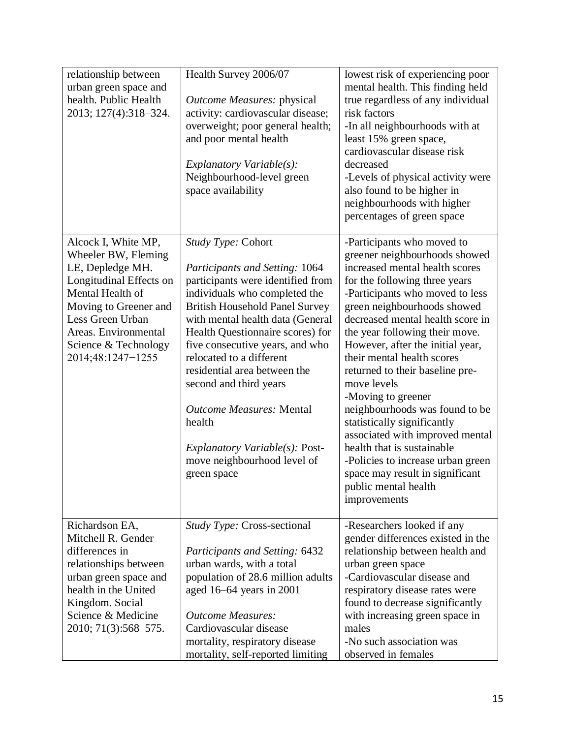| relationship between<br>urban green space and<br>health. Public Health<br>2013; 127(4):318-324.                                                                                                                                 | Health Survey 2006/07<br><i><b>Outcome Measures: physical</b></i><br>activity: cardiovascular disease;<br>overweight; poor general health;<br>and poor mental health<br>Explanatory Variable(s):<br>Neighbourhood-level green<br>space availability                                                                                                                                                                                                                                                   | lowest risk of experiencing poor<br>mental health. This finding held<br>true regardless of any individual<br>risk factors<br>-In all neighbourhoods with at<br>least 15% green space,<br>cardiovascular disease risk<br>decreased<br>-Levels of physical activity were<br>also found to be higher in<br>neighbourhoods with higher<br>percentages of green space                                                                                                                                                                                                                                                                                                   |
|---------------------------------------------------------------------------------------------------------------------------------------------------------------------------------------------------------------------------------|-------------------------------------------------------------------------------------------------------------------------------------------------------------------------------------------------------------------------------------------------------------------------------------------------------------------------------------------------------------------------------------------------------------------------------------------------------------------------------------------------------|--------------------------------------------------------------------------------------------------------------------------------------------------------------------------------------------------------------------------------------------------------------------------------------------------------------------------------------------------------------------------------------------------------------------------------------------------------------------------------------------------------------------------------------------------------------------------------------------------------------------------------------------------------------------|
| Alcock I, White MP,<br>Wheeler BW, Fleming<br>LE, Depledge MH.<br>Longitudinal Effects on<br>Mental Health of<br>Moving to Greener and<br>Less Green Urban<br>Areas. Environmental<br>Science & Technology<br>2014;48:1247-1255 | Study Type: Cohort<br>Participants and Setting: 1064<br>participants were identified from<br>individuals who completed the<br><b>British Household Panel Survey</b><br>with mental health data (General<br>Health Questionnaire scores) for<br>five consecutive years, and who<br>relocated to a different<br>residential area between the<br>second and third years<br><b>Outcome Measures: Mental</b><br>health<br>Explanatory Variable $(s)$ : Post-<br>move neighbourhood level of<br>green space | -Participants who moved to<br>greener neighbourhoods showed<br>increased mental health scores<br>for the following three years<br>-Participants who moved to less<br>green neighbourhoods showed<br>decreased mental health score in<br>the year following their move.<br>However, after the initial year,<br>their mental health scores<br>returned to their baseline pre-<br>move levels<br>-Moving to greener<br>neighbourhoods was found to be<br>statistically significantly<br>associated with improved mental<br>health that is sustainable<br>-Policies to increase urban green<br>space may result in significant<br>public mental health<br>improvements |
| Richardson EA,<br>Mitchell R. Gender<br>differences in<br>relationships between<br>urban green space and<br>health in the United<br>Kingdom. Social<br>Science & Medicine<br>2010; 71(3):568-575.                               | Study Type: Cross-sectional<br>Participants and Setting: 6432<br>urban wards, with a total<br>population of 28.6 million adults<br>aged 16–64 years in 2001<br><b>Outcome Measures:</b><br>Cardiovascular disease<br>mortality, respiratory disease<br>mortality, self-reported limiting                                                                                                                                                                                                              | -Researchers looked if any<br>gender differences existed in the<br>relationship between health and<br>urban green space<br>-Cardiovascular disease and<br>respiratory disease rates were<br>found to decrease significantly<br>with increasing green space in<br>males<br>-No such association was<br>observed in females                                                                                                                                                                                                                                                                                                                                          |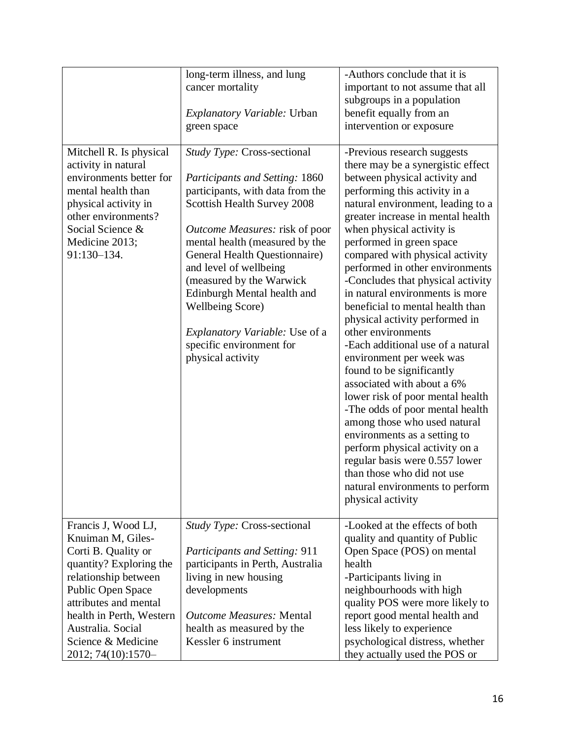|                                                                                                                                                                                                                                                               | long-term illness, and lung                                                                                                                                                                                                                                                                                                                                                                                                                     | -Authors conclude that it is                                                                                                                                                                                                                                                                                                                                                                                                                                                                                                                                                                                                                                                                                                                                                       |
|---------------------------------------------------------------------------------------------------------------------------------------------------------------------------------------------------------------------------------------------------------------|-------------------------------------------------------------------------------------------------------------------------------------------------------------------------------------------------------------------------------------------------------------------------------------------------------------------------------------------------------------------------------------------------------------------------------------------------|------------------------------------------------------------------------------------------------------------------------------------------------------------------------------------------------------------------------------------------------------------------------------------------------------------------------------------------------------------------------------------------------------------------------------------------------------------------------------------------------------------------------------------------------------------------------------------------------------------------------------------------------------------------------------------------------------------------------------------------------------------------------------------|
|                                                                                                                                                                                                                                                               | cancer mortality                                                                                                                                                                                                                                                                                                                                                                                                                                | important to not assume that all                                                                                                                                                                                                                                                                                                                                                                                                                                                                                                                                                                                                                                                                                                                                                   |
|                                                                                                                                                                                                                                                               |                                                                                                                                                                                                                                                                                                                                                                                                                                                 | subgroups in a population                                                                                                                                                                                                                                                                                                                                                                                                                                                                                                                                                                                                                                                                                                                                                          |
|                                                                                                                                                                                                                                                               | <i>Explanatory Variable: Urban</i>                                                                                                                                                                                                                                                                                                                                                                                                              | benefit equally from an                                                                                                                                                                                                                                                                                                                                                                                                                                                                                                                                                                                                                                                                                                                                                            |
|                                                                                                                                                                                                                                                               | green space                                                                                                                                                                                                                                                                                                                                                                                                                                     | intervention or exposure                                                                                                                                                                                                                                                                                                                                                                                                                                                                                                                                                                                                                                                                                                                                                           |
|                                                                                                                                                                                                                                                               |                                                                                                                                                                                                                                                                                                                                                                                                                                                 |                                                                                                                                                                                                                                                                                                                                                                                                                                                                                                                                                                                                                                                                                                                                                                                    |
| Mitchell R. Is physical<br>activity in natural<br>environments better for<br>mental health than<br>physical activity in<br>other environments?<br>Social Science &<br>Medicine 2013;<br>91:130-134.                                                           | Study Type: Cross-sectional<br>Participants and Setting: 1860<br>participants, with data from the<br>Scottish Health Survey 2008<br><i>Outcome Measures:</i> risk of poor<br>mental health (measured by the<br>General Health Questionnaire)<br>and level of wellbeing<br>(measured by the Warwick<br>Edinburgh Mental health and<br><b>Wellbeing Score)</b><br>Explanatory Variable: Use of a<br>specific environment for<br>physical activity | -Previous research suggests<br>there may be a synergistic effect<br>between physical activity and<br>performing this activity in a<br>natural environment, leading to a<br>greater increase in mental health<br>when physical activity is<br>performed in green space<br>compared with physical activity<br>performed in other environments<br>-Concludes that physical activity<br>in natural environments is more<br>beneficial to mental health than<br>physical activity performed in<br>other environments<br>-Each additional use of a natural<br>environment per week was<br>found to be significantly<br>associated with about a 6%<br>lower risk of poor mental health<br>-The odds of poor mental health<br>among those who used natural<br>environments as a setting to |
|                                                                                                                                                                                                                                                               |                                                                                                                                                                                                                                                                                                                                                                                                                                                 | perform physical activity on a<br>regular basis were 0.557 lower<br>than those who did not use<br>natural environments to perform<br>physical activity                                                                                                                                                                                                                                                                                                                                                                                                                                                                                                                                                                                                                             |
| Francis J, Wood LJ,<br>Knuiman M, Giles-<br>Corti B. Quality or<br>quantity? Exploring the<br>relationship between<br>Public Open Space<br>attributes and mental<br>health in Perth, Western<br>Australia. Social<br>Science & Medicine<br>2012; 74(10):1570- | <i>Study Type: Cross-sectional</i><br><b>Participants and Setting: 911</b><br>participants in Perth, Australia<br>living in new housing<br>developments<br><b>Outcome Measures: Mental</b><br>health as measured by the<br>Kessler 6 instrument                                                                                                                                                                                                 | -Looked at the effects of both<br>quality and quantity of Public<br>Open Space (POS) on mental<br>health<br>-Participants living in<br>neighbourhoods with high<br>quality POS were more likely to<br>report good mental health and<br>less likely to experience<br>psychological distress, whether<br>they actually used the POS or                                                                                                                                                                                                                                                                                                                                                                                                                                               |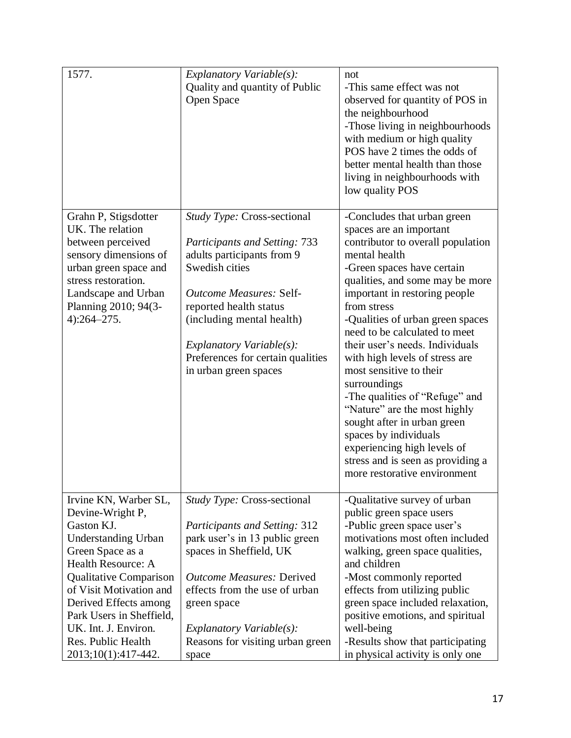| 1577.                                                                                                                                                                                                                                                                                                                        | Explanatory Variable(s):<br>Quality and quantity of Public<br>Open Space                                                                                                                                                                                                                                   | not<br>-This same effect was not<br>observed for quantity of POS in<br>the neighbourhood<br>-Those living in neighbourhoods<br>with medium or high quality<br>POS have 2 times the odds of<br>better mental health than those<br>living in neighbourhoods with<br>low quality POS                                                                                                                                                                                                                                                                                                                                                                |
|------------------------------------------------------------------------------------------------------------------------------------------------------------------------------------------------------------------------------------------------------------------------------------------------------------------------------|------------------------------------------------------------------------------------------------------------------------------------------------------------------------------------------------------------------------------------------------------------------------------------------------------------|--------------------------------------------------------------------------------------------------------------------------------------------------------------------------------------------------------------------------------------------------------------------------------------------------------------------------------------------------------------------------------------------------------------------------------------------------------------------------------------------------------------------------------------------------------------------------------------------------------------------------------------------------|
| Grahn P, Stigsdotter<br>UK. The relation<br>between perceived<br>sensory dimensions of<br>urban green space and<br>stress restoration.<br>Landscape and Urban<br>Planning 2010; 94(3-<br>$4):264 - 275.$                                                                                                                     | Study Type: Cross-sectional<br><b>Participants and Setting: 733</b><br>adults participants from 9<br>Swedish cities<br><b>Outcome Measures: Self-</b><br>reported health status<br>(including mental health)<br>Explanatory Variable $(s)$ :<br>Preferences for certain qualities<br>in urban green spaces | -Concludes that urban green<br>spaces are an important<br>contributor to overall population<br>mental health<br>-Green spaces have certain<br>qualities, and some may be more<br>important in restoring people<br>from stress<br>-Qualities of urban green spaces<br>need to be calculated to meet<br>their user's needs. Individuals<br>with high levels of stress are<br>most sensitive to their<br>surroundings<br>-The qualities of "Refuge" and<br>"Nature" are the most highly<br>sought after in urban green<br>spaces by individuals<br>experiencing high levels of<br>stress and is seen as providing a<br>more restorative environment |
| Irvine KN, Warber SL,<br>Devine-Wright P,<br>Gaston KJ.<br><b>Understanding Urban</b><br>Green Space as a<br><b>Health Resource: A</b><br><b>Qualitative Comparison</b><br>of Visit Motivation and<br>Derived Effects among<br>Park Users in Sheffield,<br>UK. Int. J. Environ.<br>Res. Public Health<br>2013;10(1):417-442. | Study Type: Cross-sectional<br><b>Participants and Setting: 312</b><br>park user's in 13 public green<br>spaces in Sheffield, UK<br><b>Outcome Measures: Derived</b><br>effects from the use of urban<br>green space<br>Explanatory Variable(s):<br>Reasons for visiting urban green<br>space              | -Qualitative survey of urban<br>public green space users<br>-Public green space user's<br>motivations most often included<br>walking, green space qualities,<br>and children<br>-Most commonly reported<br>effects from utilizing public<br>green space included relaxation,<br>positive emotions, and spiritual<br>well-being<br>-Results show that participating<br>in physical activity is only one                                                                                                                                                                                                                                           |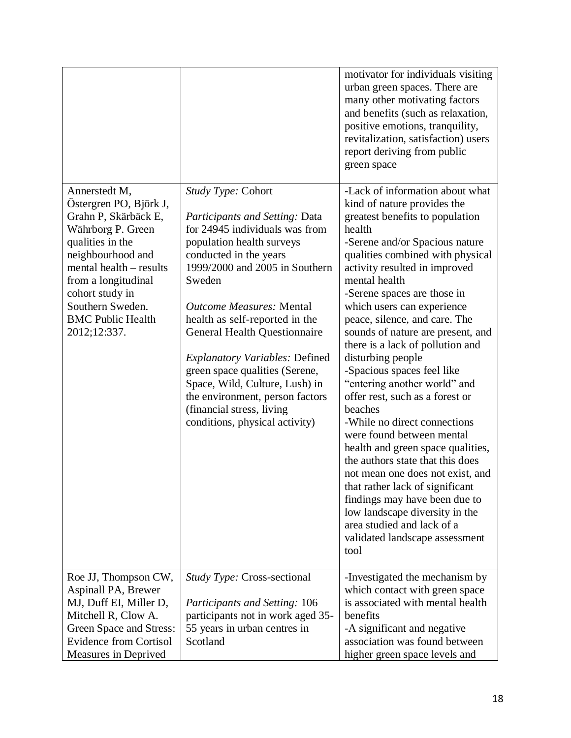|                                                                                                                                                                                                                                                                    |                                                                                                                                                                                                                                                                                                                                                                                                                                                                                                                              | motivator for individuals visiting<br>urban green spaces. There are<br>many other motivating factors<br>and benefits (such as relaxation,<br>positive emotions, tranquility,<br>revitalization, satisfaction) users<br>report deriving from public<br>green space                                                                                                                                                                                                                                                                                                                                                                                                                                                                                                                                                                                                                                   |
|--------------------------------------------------------------------------------------------------------------------------------------------------------------------------------------------------------------------------------------------------------------------|------------------------------------------------------------------------------------------------------------------------------------------------------------------------------------------------------------------------------------------------------------------------------------------------------------------------------------------------------------------------------------------------------------------------------------------------------------------------------------------------------------------------------|-----------------------------------------------------------------------------------------------------------------------------------------------------------------------------------------------------------------------------------------------------------------------------------------------------------------------------------------------------------------------------------------------------------------------------------------------------------------------------------------------------------------------------------------------------------------------------------------------------------------------------------------------------------------------------------------------------------------------------------------------------------------------------------------------------------------------------------------------------------------------------------------------------|
| Annerstedt M,<br>Östergren PO, Björk J,<br>Grahn P, Skärbäck E,<br>Währborg P. Green<br>qualities in the<br>neighbourhood and<br>mental health – results<br>from a longitudinal<br>cohort study in<br>Southern Sweden.<br><b>BMC Public Health</b><br>2012;12:337. | <i>Study Type:</i> Cohort<br>Participants and Setting: Data<br>for 24945 individuals was from<br>population health surveys<br>conducted in the years<br>1999/2000 and 2005 in Southern<br>Sweden<br><b>Outcome Measures: Mental</b><br>health as self-reported in the<br><b>General Health Questionnaire</b><br><b>Explanatory Variables: Defined</b><br>green space qualities (Serene,<br>Space, Wild, Culture, Lush) in<br>the environment, person factors<br>(financial stress, living)<br>conditions, physical activity) | -Lack of information about what<br>kind of nature provides the<br>greatest benefits to population<br>health<br>-Serene and/or Spacious nature<br>qualities combined with physical<br>activity resulted in improved<br>mental health<br>-Serene spaces are those in<br>which users can experience<br>peace, silence, and care. The<br>sounds of nature are present, and<br>there is a lack of pollution and<br>disturbing people<br>-Spacious spaces feel like<br>"entering another world" and<br>offer rest, such as a forest or<br>beaches<br>-While no direct connections<br>were found between mental<br>health and green space qualities,<br>the authors state that this does<br>not mean one does not exist, and<br>that rather lack of significant<br>findings may have been due to<br>low landscape diversity in the<br>area studied and lack of a<br>validated landscape assessment<br>tool |
| Roe JJ, Thompson CW,<br>Aspinall PA, Brewer<br>MJ, Duff EI, Miller D,<br>Mitchell R, Clow A.<br>Green Space and Stress:<br><b>Evidence from Cortisol</b>                                                                                                           | <i>Study Type: Cross-sectional</i><br><b>Participants and Setting: 106</b><br>participants not in work aged 35-<br>55 years in urban centres in<br>Scotland                                                                                                                                                                                                                                                                                                                                                                  | -Investigated the mechanism by<br>which contact with green space<br>is associated with mental health<br>benefits<br>-A significant and negative<br>association was found between                                                                                                                                                                                                                                                                                                                                                                                                                                                                                                                                                                                                                                                                                                                    |
| Measures in Deprived                                                                                                                                                                                                                                               |                                                                                                                                                                                                                                                                                                                                                                                                                                                                                                                              | higher green space levels and                                                                                                                                                                                                                                                                                                                                                                                                                                                                                                                                                                                                                                                                                                                                                                                                                                                                       |